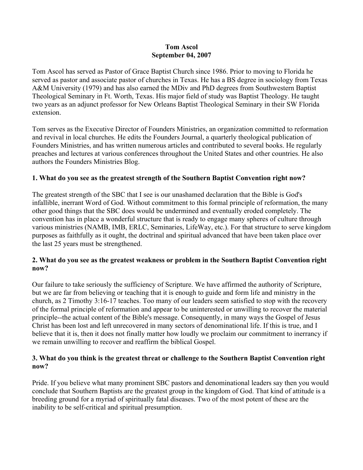#### **Tom Ascol September 04, 2007**

Tom Ascol has served as Pastor of Grace Baptist Church since 1986. Prior to moving to Florida he served as pastor and associate pastor of churches in Texas. He has a BS degree in sociology from Texas A&M University (1979) and has also earned the MDiv and PhD degrees from Southwestern Baptist Theological Seminary in Ft. Worth, Texas. His major field of study was Baptist Theology. He taught two years as an adjunct professor for New Orleans Baptist Theological Seminary in their SW Florida extension.

Tom serves as the Executive Director of Founders Ministries, an organization committed to reformation and revival in local churches. He edits the Founders Journal, a quarterly theological publication of Founders Ministries, and has written numerous articles and contributed to several books. He regularly preaches and lectures at various conferences throughout the United States and other countries. He also authors the Founders Ministries Blog.

### **1. What do you see as the greatest strength of the Southern Baptist Convention right now?**

The greatest strength of the SBC that I see is our unashamed declaration that the Bible is God's infallible, inerrant Word of God. Without commitment to this formal principle of reformation, the many other good things that the SBC does would be undermined and eventually eroded completely. The convention has in place a wonderful structure that is ready to engage many spheres of culture through various ministries (NAMB, IMB, ERLC, Seminaries, LifeWay, etc.). For that structure to serve kingdom purposes as faithfully as it ought, the doctrinal and spiritual advanced that have been taken place over the last 25 years must be strengthened.

# **2. What do you see as the greatest weakness or problem in the Southern Baptist Convention right now?**

Our failure to take seriously the sufficiency of Scripture. We have affirmed the authority of Scripture, but we are far from believing or teaching that it is enough to guide and form life and ministry in the church, as 2 Timothy 3:16-17 teaches. Too many of our leaders seem satisfied to stop with the recovery of the formal principle of reformation and appear to be uninterested or unwilling to recover the material principle--the actual content of the Bible's message. Consequently, in many ways the Gospel of Jesus Christ has been lost and left unrecovered in many sectors of denominational life. If this is true, and I believe that it is, then it does not finally matter how loudly we proclaim our commitment to inerrancy if we remain unwilling to recover and reaffirm the biblical Gospel.

### **3. What do you think is the greatest threat or challenge to the Southern Baptist Convention right now?**

Pride. If you believe what many prominent SBC pastors and denominational leaders say then you would conclude that Southern Baptists are the greatest group in the kingdom of God. That kind of attitude is a breeding ground for a myriad of spiritually fatal diseases. Two of the most potent of these are the inability to be self-critical and spiritual presumption.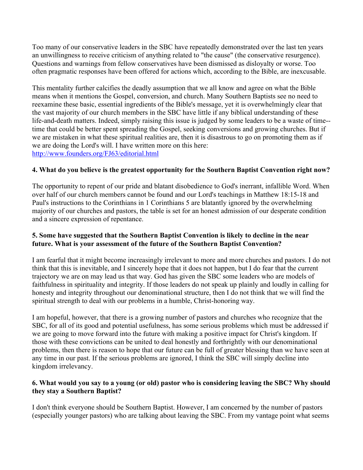Too many of our conservative leaders in the SBC have repeatedly demonstrated over the last ten years an unwillingness to receive criticism of anything related to "the cause" (the conservative resurgence). Questions and warnings from fellow conservatives have been dismissed as disloyalty or worse. Too often pragmatic responses have been offered for actions which, according to the Bible, are inexcusable.

This mentality further calcifies the deadly assumption that we all know and agree on what the Bible means when it mentions the Gospel, conversion, and church. Many Southern Baptists see no need to reexamine these basic, essential ingredients of the Bible's message, yet it is overwhelmingly clear that the vast majority of our church members in the SBC have little if any biblical understanding of these life-and-death matters. Indeed, simply raising this issue is judged by some leaders to be a waste of time- time that could be better spent spreading the Gospel, seeking conversions and growing churches. But if we are mistaken in what these spiritual realities are, then it is disastrous to go on promoting them as if we are doing the Lord's will. I have written more on this here: http://www.founders.org/FJ63/editorial.html

### **4. What do you believe is the greatest opportunity for the Southern Baptist Convention right now?**

The opportunity to repent of our pride and blatant disobedience to God's inerrant, infallible Word. When over half of our church members cannot be found and our Lord's teachings in Matthew 18:15-18 and Paul's instructions to the Corinthians in 1 Corinthians 5 are blatantly ignored by the overwhelming majority of our churches and pastors, the table is set for an honest admission of our desperate condition and a sincere expression of repentance.

### **5. Some have suggested that the Southern Baptist Convention is likely to decline in the near future. What is your assessment of the future of the Southern Baptist Convention?**

I am fearful that it might become increasingly irrelevant to more and more churches and pastors. I do not think that this is inevitable, and I sincerely hope that it does not happen, but I do fear that the current trajectory we are on may lead us that way. God has given the SBC some leaders who are models of faithfulness in spirituality and integrity. If those leaders do not speak up plainly and loudly in calling for honesty and integrity throughout our denominational structure, then I do not think that we will find the spiritual strength to deal with our problems in a humble, Christ-honoring way.

I am hopeful, however, that there is a growing number of pastors and churches who recognize that the SBC, for all of its good and potential usefulness, has some serious problems which must be addressed if we are going to move forward into the future with making a positive impact for Christ's kingdom. If those with these convictions can be united to deal honestly and forthrightly with our denominational problems, then there is reason to hope that our future can be full of greater blessing than we have seen at any time in our past. If the serious problems are ignored, I think the SBC will simply decline into kingdom irrelevancy.

### **6. What would you say to a young (or old) pastor who is considering leaving the SBC? Why should they stay a Southern Baptist?**

I don't think everyone should be Southern Baptist. However, I am concerned by the number of pastors (especially younger pastors) who are talking about leaving the SBC. From my vantage point what seems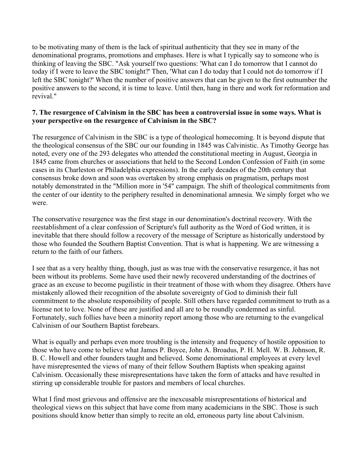to be motivating many of them is the lack of spiritual authenticity that they see in many of the denominational programs, promotions and emphases. Here is what I typically say to someone who is thinking of leaving the SBC. "Ask yourself two questions: 'What can I do tomorrow that I cannot do today if I were to leave the SBC tonight?' Then, 'What can I do today that I could not do tomorrow if I left the SBC tonight?' When the number of positive answers that can be given to the first outnumber the positive answers to the second, it is time to leave. Until then, hang in there and work for reformation and revival<sup>"</sup>

#### **7. The resurgence of Calvinism in the SBC has been a controversial issue in some ways. What is your perspective on the resurgence of Calvinism in the SBC?**

The resurgence of Calvinism in the SBC is a type of theological homecoming. It is beyond dispute that the theological consensus of the SBC our our founding in 1845 was Calvinistic. As Timothy George has noted, every one of the 293 delegates who attended the constitutional meeting in August, Georgia in 1845 came from churches or associations that held to the Second London Confession of Faith (in some cases in its Charleston or Philadelphia expressions). In the early decades of the 20th century that consensus broke down and soon was overtaken by strong emphasis on pragmatism, perhaps most notably demonstrated in the "Million more in '54" campaign. The shift of theological commitments from the center of our identity to the periphery resulted in denominational amnesia. We simply forget who we were.

The conservative resurgence was the first stage in our denomination's doctrinal recovery. With the reestablishment of a clear confession of Scripture's full authority as the Word of God written, it is inevitable that there should follow a recovery of the message of Scripture as historically understood by those who founded the Southern Baptist Convention. That is what is happening. We are witnessing a return to the faith of our fathers.

I see that as a very healthy thing, though, just as was true with the conservative resurgence, it has not been without its problems. Some have used their newly recovered understanding of the doctrines of grace as an excuse to become pugilistic in their treatment of those with whom they disagree. Others have mistakenly allowed their recognition of the absolute sovereignty of God to diminish their full commitment to the absolute responsibility of people. Still others have regarded commitment to truth as a license not to love. None of these are justified and all are to be roundly condemned as sinful. Fortunately, such follies have been a minority report among those who are returning to the evangelical Calvinism of our Southern Baptist forebears.

What is equally and perhaps even more troubling is the intensity and frequency of hostile opposition to those who have come to believe what James P. Boyce, John A. Broadus, P. H. Mell. W. B. Johnson, R. B. C. Howell and other founders taught and believed. Some denominational employees at every level have misrepresented the views of many of their fellow Southern Baptists when speaking against Calvinism. Occasionally these misrepresentations have taken the form of attacks and have resulted in stirring up considerable trouble for pastors and members of local churches.

What I find most grievous and offensive are the inexcusable misrepresentations of historical and theological views on this subject that have come from many academicians in the SBC. Those is such positions should know better than simply to recite an old, erroneous party line about Calvinism.